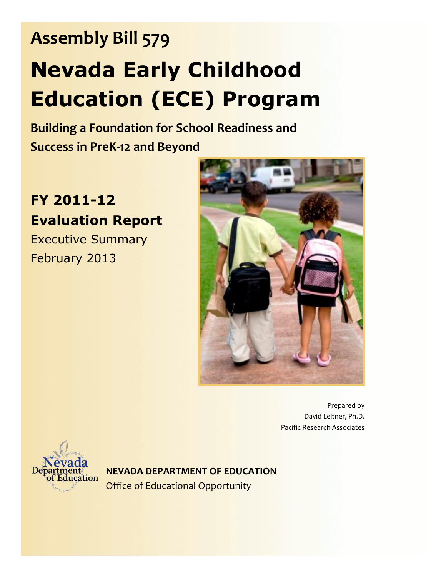**Building a Foundation for School Readiness and Success in PreK-12 and Beyond**

# **FY 2011-12 Evaluation Report**

Executive Summary February 2013



Prepared by David Leitner, Ph.D. Pacific Research Associates



**NEVADA DEPARTMENT OF EDUCATION** Office of Educational Opportunity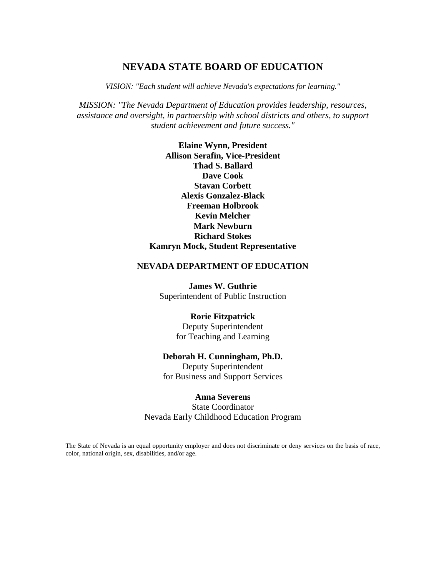# **NEVADA STATE BOARD OF EDUCATION**

*VISION: "Each student will achieve Nevada's expectations for learning."*

*MISSION: "The Nevada Department of Education provides leadership, resources, assistance and oversight, in partnership with school districts and others, to support student achievement and future success."*

> **Elaine Wynn, President Allison Serafin, Vice-President Thad S. Ballard Dave Cook Stavan Corbett Alexis Gonzalez-Black Freeman Holbrook Kevin Melcher Mark Newburn Richard Stokes Kamryn Mock, Student Representative**

#### **NEVADA DEPARTMENT OF EDUCATION**

**James W. Guthrie** Superintendent of Public Instruction

#### **Rorie Fitzpatrick**

Deputy Superintendent for Teaching and Learning

#### **Deborah H. Cunningham, Ph.D.**

Deputy Superintendent for Business and Support Services

### **Anna Severens**

State Coordinator Nevada Early Childhood Education Program

The State of Nevada is an equal opportunity employer and does not discriminate or deny services on the basis of race, color, national origin, sex, disabilities, and/or age.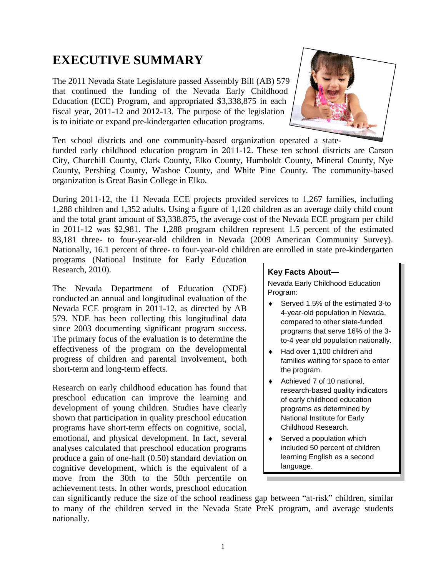# **EXECUTIVE SUMMARY**

The 2011 Nevada State Legislature passed Assembly Bill (AB) 579 that continued the funding of the Nevada Early Childhood Education (ECE) Program, and appropriated \$3,338,875 in each fiscal year, 2011-12 and 2012-13. The purpose of the legislation is to initiate or expand pre-kindergarten education programs.



Ten school districts and one community-based organization operated a statefunded early childhood education program in 2011-12. These ten school districts are Carson City, Churchill County, Clark County, Elko County, Humboldt County, Mineral County, Nye County, Pershing County, Washoe County, and White Pine County. The community-based organization is Great Basin College in Elko.

During 2011-12, the 11 Nevada ECE projects provided services to 1,267 families, including 1,288 children and 1,352 adults. Using a figure of 1,120 children as an average daily child count and the total grant amount of \$3,338,875, the average cost of the Nevada ECE program per child in 2011-12 was \$2,981. The 1,288 program children represent 1.5 percent of the estimated 83,181 three- to four-year-old children in Nevada (2009 American Community Survey). Nationally, 16.1 percent of three- to four-year-old children are enrolled in state pre-kindergarten

programs (National Institute for Early Education Research, 2010).

The Nevada Department of Education (NDE) conducted an annual and longitudinal evaluation of the Nevada ECE program in 2011-12, as directed by AB 579. NDE has been collecting this longitudinal data since 2003 documenting significant program success. The primary focus of the evaluation is to determine the effectiveness of the program on the developmental progress of children and parental involvement, both short-term and long-term effects.

Research on early childhood education has found that preschool education can improve the learning and development of young children. Studies have clearly shown that participation in quality preschool education programs have short-term effects on cognitive, social, emotional, and physical development. In fact, several analyses calculated that preschool education programs produce a gain of one-half (0.50) standard deviation on cognitive development, which is the equivalent of a move from the 30th to the 50th percentile on achievement tests. In other words, preschool education

#### **Key Facts About—**

Nevada Early Childhood Education Program:

- ◆ Served 1.5% of the estimated 3-to 4-year-old population in Nevada, compared to other state-funded programs that serve 16% of the 3 to-4 year old population nationally.
- ◆ Had over 1,100 children and families waiting for space to enter the program.
- ◆ Achieved 7 of 10 national, research-based quality indicators of early childhood education programs as determined by National Institute for Early Childhood Research.
- ◆ Served a population which included 50 percent of children learning English as a second language.

can significantly reduce the size of the school readiness gap between "at-risk" children, similar to many of the children served in the Nevada State PreK program, and average students nationally.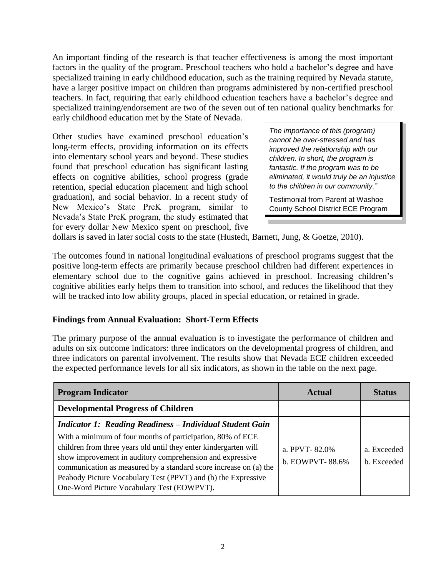An important finding of the research is that teacher effectiveness is among the most important factors in the quality of the program. Preschool teachers who hold a bachelor's degree and have specialized training in early childhood education, such as the training required by Nevada statute, have a larger positive impact on children than programs administered by non-certified preschool teachers. In fact, requiring that early childhood education teachers have a bachelor's degree and specialized training/endorsement are two of the seven out of ten national quality benchmarks for early childhood education met by the State of Nevada.

Other studies have examined preschool education's long-term effects, providing information on its effects into elementary school years and beyond. These studies found that preschool education has significant lasting effects on cognitive abilities, school progress (grade retention, special education placement and high school graduation), and social behavior. In a recent study of New Mexico's State PreK program, similar to Nevada's State PreK program, the study estimated that for every dollar New Mexico spent on preschool, five

*The importance of this (program) cannot be over-stressed and has improved the relationship with our children. In short, the program is fantastic. If the program was to be eliminated, it would truly be an injustice to the children in our community."*

Testimonial from Parent at Washoe County School District ECE Program

dollars is saved in later social costs to the state (Hustedt, Barnett, Jung, & Goetze, 2010).

The outcomes found in national longitudinal evaluations of preschool programs suggest that the positive long-term effects are primarily because preschool children had different experiences in elementary school due to the cognitive gains achieved in preschool. Increasing children's cognitive abilities early helps them to transition into school, and reduces the likelihood that they will be tracked into low ability groups, placed in special education, or retained in grade.

# **Findings from Annual Evaluation: Short-Term Effects**

The primary purpose of the annual evaluation is to investigate the performance of children and adults on six outcome indicators: three indicators on the developmental progress of children, and three indicators on parental involvement. The results show that Nevada ECE children exceeded the expected performance levels for all six indicators, as shown in the table on the next page.

| <b>Program Indicator</b>                                                                                                                                                                                                                                                                                                                                                        | Actual                           | <b>Status</b>              |
|---------------------------------------------------------------------------------------------------------------------------------------------------------------------------------------------------------------------------------------------------------------------------------------------------------------------------------------------------------------------------------|----------------------------------|----------------------------|
| <b>Developmental Progress of Children</b>                                                                                                                                                                                                                                                                                                                                       |                                  |                            |
| <b>Indicator 1: Reading Readiness – Individual Student Gain</b>                                                                                                                                                                                                                                                                                                                 |                                  |                            |
| With a minimum of four months of participation, 80% of ECE<br>children from three years old until they enter kindergarten will<br>show improvement in auditory comprehension and expressive<br>communication as measured by a standard score increase on (a) the<br>Peabody Picture Vocabulary Test (PPVT) and (b) the Expressive<br>One-Word Picture Vocabulary Test (EOWPVT). | a. PPVT-82.0%<br>b. EOWPVT-88.6% | a. Exceeded<br>b. Exceeded |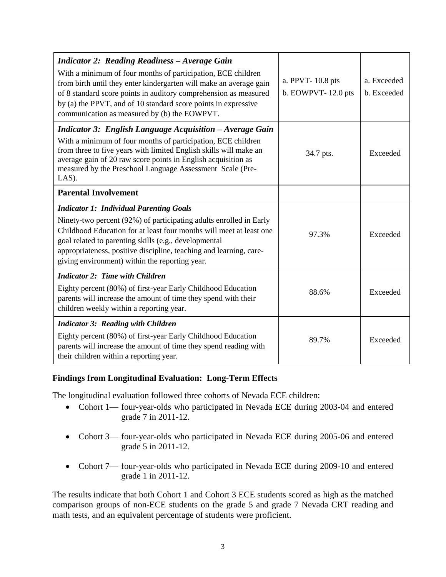| <b>Indicator 2: Reading Readiness - Average Gain</b><br>With a minimum of four months of participation, ECE children<br>from birth until they enter kindergarten will make an average gain<br>of 8 standard score points in auditory comprehension as measured<br>by (a) the PPVT, and of 10 standard score points in expressive<br>communication as measured by (b) the EOWPVT. | a. PPVT-10.8 pts<br>b. EOWPVT-12.0 pts | a. Exceeded<br>b. Exceeded |
|----------------------------------------------------------------------------------------------------------------------------------------------------------------------------------------------------------------------------------------------------------------------------------------------------------------------------------------------------------------------------------|----------------------------------------|----------------------------|
| <b>Indicator 3: English Language Acquisition - Average Gain</b><br>With a minimum of four months of participation, ECE children<br>from three to five years with limited English skills will make an<br>average gain of 20 raw score points in English acquisition as<br>measured by the Preschool Language Assessment Scale (Pre-<br>LAS).                                      | 34.7 pts.                              | Exceeded                   |
| <b>Parental Involvement</b>                                                                                                                                                                                                                                                                                                                                                      |                                        |                            |
| <b>Indicator 1: Individual Parenting Goals</b><br>Ninety-two percent (92%) of participating adults enrolled in Early<br>Childhood Education for at least four months will meet at least one<br>goal related to parenting skills (e.g., developmental<br>appropriateness, positive discipline, teaching and learning, care-<br>giving environment) within the reporting year.     | 97.3%                                  | Exceeded                   |
| <b>Indicator 2: Time with Children</b><br>Eighty percent (80%) of first-year Early Childhood Education<br>parents will increase the amount of time they spend with their<br>children weekly within a reporting year.                                                                                                                                                             | 88.6%                                  | Exceeded                   |
| <b>Indicator 3: Reading with Children</b><br>Eighty percent (80%) of first-year Early Childhood Education<br>parents will increase the amount of time they spend reading with<br>their children within a reporting year.                                                                                                                                                         | 89.7%                                  | Exceeded                   |

# **Findings from Longitudinal Evaluation: Long-Term Effects**

The longitudinal evaluation followed three cohorts of Nevada ECE children:

- Cohort 1— four-year-olds who participated in Nevada ECE during 2003-04 and entered grade 7 in 2011-12.
- Cohort 3— four-year-olds who participated in Nevada ECE during 2005-06 and entered grade 5 in 2011-12.
- Cohort 7— four-year-olds who participated in Nevada ECE during 2009-10 and entered grade 1 in 2011-12.

The results indicate that both Cohort 1 and Cohort 3 ECE students scored as high as the matched comparison groups of non-ECE students on the grade 5 and grade 7 Nevada CRT reading and math tests, and an equivalent percentage of students were proficient.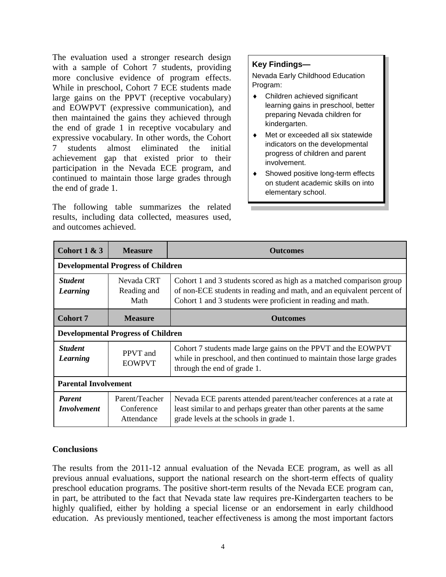The evaluation used a stronger research design with a sample of Cohort 7 students, providing more conclusive evidence of program effects. While in preschool, Cohort 7 ECE students made large gains on the PPVT (receptive vocabulary) and EOWPVT (expressive communication), and then maintained the gains they achieved through the end of grade 1 in receptive vocabulary and expressive vocabulary. In other words, the Cohort 7 students almost eliminated the initial achievement gap that existed prior to their participation in the Nevada ECE program, and continued to maintain those large grades through the end of grade 1.

The following table summarizes the related results, including data collected, measures used, and outcomes achieved.

# **Key Findings—**

Nevada Early Childhood Education Program:

- Children achieved significant learning gains in preschool, better preparing Nevada children for kindergarten.
- ◆ Met or exceeded all six statewide indicators on the developmental progress of children and parent involvement.
- ◆ Showed positive long-term effects on student academic skills on into elementary school.

| Cohort $1 & 3$                            | <b>Measure</b>                             | <b>Outcomes</b>                                                                                                                                                                                               |  |
|-------------------------------------------|--------------------------------------------|---------------------------------------------------------------------------------------------------------------------------------------------------------------------------------------------------------------|--|
| <b>Developmental Progress of Children</b> |                                            |                                                                                                                                                                                                               |  |
| <b>Student</b><br>Learning                | Nevada CRT<br>Reading and<br>Math          | Cohort 1 and 3 students scored as high as a matched comparison group<br>of non-ECE students in reading and math, and an equivalent percent of<br>Cohort 1 and 3 students were proficient in reading and math. |  |
| <b>Cohort 7</b>                           | <b>Measure</b>                             | <b>Outcomes</b>                                                                                                                                                                                               |  |
| <b>Developmental Progress of Children</b> |                                            |                                                                                                                                                                                                               |  |
| <b>Student</b><br>Learning                | PPVT and<br><b>EOWPVT</b>                  | Cohort 7 students made large gains on the PPVT and the EOWPVT<br>while in preschool, and then continued to maintain those large grades<br>through the end of grade 1.                                         |  |
| <b>Parental Involvement</b>               |                                            |                                                                                                                                                                                                               |  |
| <b>Parent</b><br><i>Involvement</i>       | Parent/Teacher<br>Conference<br>Attendance | Nevada ECE parents attended parent/teacher conferences at a rate at<br>least similar to and perhaps greater than other parents at the same<br>grade levels at the schools in grade 1.                         |  |

# **Conclusions**

The results from the 2011-12 annual evaluation of the Nevada ECE program, as well as all previous annual evaluations, support the national research on the short-term effects of quality preschool education programs. The positive short-term results of the Nevada ECE program can, in part, be attributed to the fact that Nevada state law requires pre-Kindergarten teachers to be highly qualified, either by holding a special license or an endorsement in early childhood education. As previously mentioned, teacher effectiveness is among the most important factors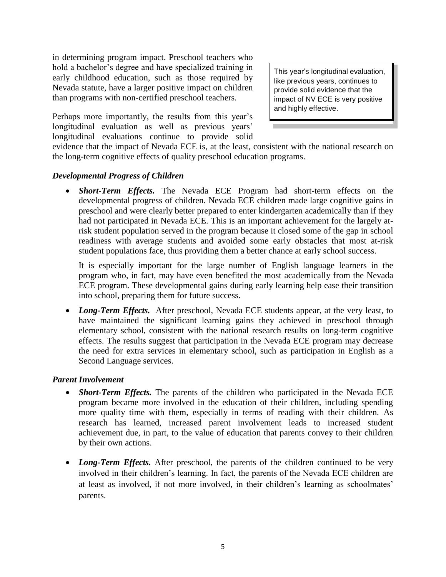in determining program impact. Preschool teachers who hold a bachelor's degree and have specialized training in early childhood education, such as those required by Nevada statute, have a larger positive impact on children than programs with non-certified preschool teachers.

Perhaps more importantly, the results from this year's longitudinal evaluation as well as previous years' longitudinal evaluations continue to provide solid

This year's longitudinal evaluation, like previous years, continues to provide solid evidence that the impact of NV ECE is very positive and highly effective.

evidence that the impact of Nevada ECE is, at the least, consistent with the national research on the long-term cognitive effects of quality preschool education programs.

#### *Developmental Progress of Children*

 *Short-Term Effects.* The Nevada ECE Program had short-term effects on the developmental progress of children. Nevada ECE children made large cognitive gains in preschool and were clearly better prepared to enter kindergarten academically than if they had not participated in Nevada ECE. This is an important achievement for the largely atrisk student population served in the program because it closed some of the gap in school readiness with average students and avoided some early obstacles that most at-risk student populations face, thus providing them a better chance at early school success.

It is especially important for the large number of English language learners in the program who, in fact, may have even benefited the most academically from the Nevada ECE program. These developmental gains during early learning help ease their transition into school, preparing them for future success.

• *Long-Term Effects*. After preschool, Nevada ECE students appear, at the very least, to have maintained the significant learning gains they achieved in preschool through elementary school, consistent with the national research results on long-term cognitive effects. The results suggest that participation in the Nevada ECE program may decrease the need for extra services in elementary school, such as participation in English as a Second Language services.

#### *Parent Involvement*

- *Short-Term Effects.* The parents of the children who participated in the Nevada ECE program became more involved in the education of their children, including spending more quality time with them, especially in terms of reading with their children. As research has learned, increased parent involvement leads to increased student achievement due, in part, to the value of education that parents convey to their children by their own actions.
- *Long-Term Effects*. After preschool, the parents of the children continued to be very involved in their children's learning. In fact, the parents of the Nevada ECE children are at least as involved, if not more involved, in their children's learning as schoolmates' parents.